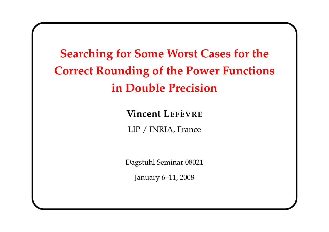**Searching for Some Worst Cases for the Correct Rounding of the Power Functions in Double Precision**

> **Vincent LEFÈVRE** LIP / INRIA, France

Dagstuhl Seminar 08021

January 6–11, 2008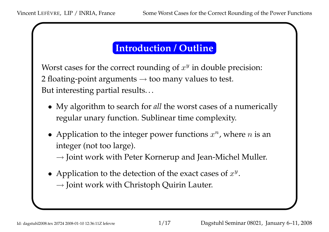# **Introduction / Outline**

Worst cases for the correct rounding of  $x^y$  in double precision: 2 floating-point arguments → too many values to test. But interesting partial results. . .

- My algorithm to search for *all* the worst cases of a numerically regular unary function. Sublinear time complexity.
- Application to the integer power functions  $x^n$ , where n is an integer (not too large).

*<sup>→</sup>* Joint work with Peter Kornerup and Jean-Michel Muller.

• Application to the detection of the exact cases of  $x^y$ . *<sup>→</sup>* Joint work with Christoph Quirin Lauter.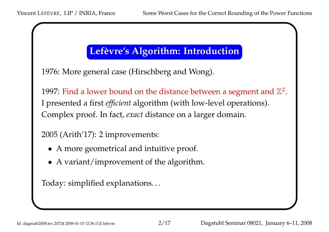### **Lefèvre's Algorithm: Introduction**

1976: More general case (Hirschberg and Wong).

1997: Find a lower bound on the distance between a segment and  $\mathbb{Z}^2.$ <sup>I</sup> presented <sup>a</sup> first *efficient* algorithm (with low-level operations). Complex proof. In fact, *exact* distance on <sup>a</sup> larger domain.

2005 (Arith'17): <sup>2</sup> improvements:

- A more geometrical and intuitive proof.
- <sup>A</sup> variant/improvement of the algorithm.

Today: simplified explanations. . .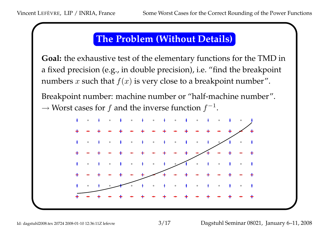### **The Problem (Without Details)**

**Goal:** the exhaustive test of the elementary functions for the TMD <sup>i</sup> n <sup>a</sup> fixed precision (e.g., in double precision), i.e. "find the breakpoint numbers  $x$  such that  $f(x)$  is very close to a breakpoint number".

Breakpoint number: machine number or "half-machine number". → Worst cases for *f* and the inverse function  $f^{-1}$ .

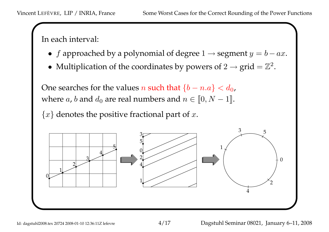In each interval:

- *f* approached by a polynomial of degree  $1 \rightarrow$  segment  $y = b ax$ .
- Multiplication of the coordinates by powers of  $2 \rightarrow \text{grid} = \mathbb{Z}^2$ .

One searches for the values *n* such that  $\{b-n.a\} < d_0$ , where a, b and  $d_0$  are real numbers and  $n \in [0, N - 1]$ .

*{ x }* denotes the positive fractional par<sup>t</sup> of *x*.

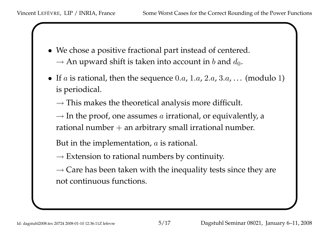- We chose <sup>a</sup> positive fractional par<sup>t</sup> instead of centered.  $\rightarrow$  An upward shift is taken into account in *b* and  $d_0$ .
- If *a* is rational, then the sequence 0*.a*, 1*.a*, 2*.a*, 3*.a*, . . . (modulo 1 ) is periodical.

*<sup>→</sup>* This makes the theoretical analysis more difficult.

*<sup>→</sup>* In the proof, one assumes *a* irrational, or equivalently, a rational number <sup>+</sup> an arbitrary small irrational number.

But in the implementation, *<sup>a</sup>* is rational.

*<sup>→</sup>* Extension to rational numbers by continuity.

*→* Care has been taken with the inequality tests since they are not continuous functions.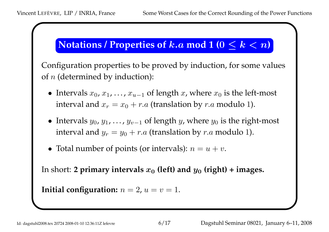# $\mathbf{N}$  **(Notations / Properties of**  $k.a \text{ mod } 1$  **(** $0 \leq k < n$ **)**

Configuration properties to be proved by induction, for some values of *<sup>n</sup>* (determined by induction):

- Intervals  $x_0, x_1, \ldots, x_{u-1}$  of length  $x$ , where  $x_0$  is the left-most interval and  $x_r = x_0 + r.a$  (translation by  $r.a$  modulo 1).
- Intervals  $y_0, y_1, \ldots, y_{v-1}$  of length  $y$ , where  $y_0$  is the right-most interval and  $y_r = y_0 + r.a$  (translation by  $r.a$  modulo 1).
- Total number of points (or intervals):  $n = u + v$ .

In short: **2 primary intervals**  $x_{0}$  (left) and  $y_{0}$  (right) + images.

```
Initial configuration: n=2, u=v=1.
```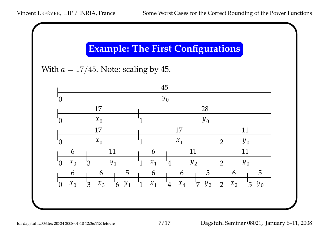# **Example: The First Configurations**

With  $a = 17/45$ . Note: scaling by 45.

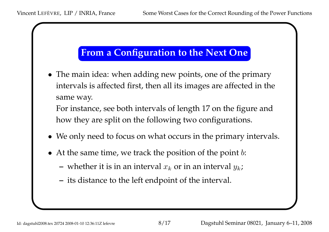### **From a Configuration to the Next One**

• The main idea: when adding new points, one of the primary intervals is affected first, then all its images are affected in the same way.

For instance, see both intervals of length <sup>17</sup> on the figure and how they are split on the following two configurations.

- We only need to focus on what occurs in the primary intervals.
- At the same time, we track the position of the point *b*:
	- $-$  whether it is in an interval  $x_k$  or in an interval  $y_k$ ;
	- **–** its distance to the left endpoint of the interval.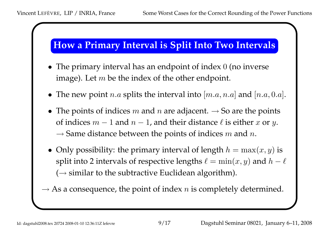

- The primary interval has an endpoint of index 0 (no inverse image). Let *<sup>m</sup>* be the index of the other endpoint.
- The new point  $n.a$  splits the interval into  $[m.a, n.a]$  and  $[n.a, 0.a]$ .
- The points of indices *m* and *<sup>n</sup>* are adjacent. *<sup>→</sup>* So are the points of indices  $m-1$  and  $n-1$ , and their distance  $\ell$  is either  $x$  or  $y$ . *<sup>→</sup>* Same distance between the points of indices *m* and *n*.
- Only possibility: the primary interval of length  $h = \max(x, y)$  is split into 2 intervals of respective lengths  $\ell = \min(x, y)$  and  $h - \ell$ ( *<sup>→</sup>* similar to the subtractive Euclidean algorithm).

*→* As <sup>a</sup> consequence, the point of index *<sup>n</sup>* is completely determined.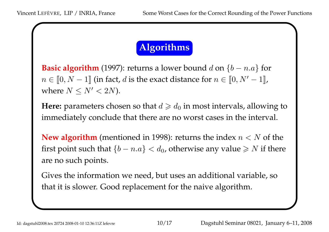# **Algorithms**

**Basic algorithm** (1997): returns a lower bound  $d$  on  $\{b - n.a\}$  for  $n \in [0, N - 1]$  (in fact, *d* is the exact distance for  $n \in [0, N' - 1]$ , where  $N \le N' < 2N$ ).

**Here:** parameters chosen so that  $d \geqslant d_0$  in most intervals, allowing to immediately conclude that there are no worst cases in the interval.

**New algorithm** (mentioned in 1998): returns the index  $n < N$  of the first point such that  $\{b - n.a\} < d_0$ , otherwise any value  $\geq N$  if there are no such points.

Gives the information we need, but uses an additional variable, so that it is slower. Good replacement for the naive algorithm.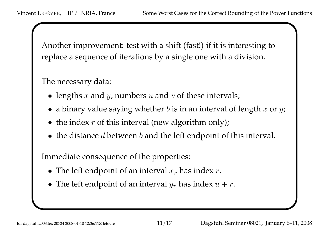Another improvement: test with a shift (fast!) if it is interesting to replace <sup>a</sup> sequence of iterations by <sup>a</sup> single one with <sup>a</sup> division.

The necessary data:

- lengths *x* and *<sup>y</sup>*, numbers *u* and *<sup>v</sup>* of these intervals;
- <sup>a</sup> binary value saying whether *<sup>b</sup>* is in an interval of length *x* or *y*;
- the index *<sup>r</sup>* of this interval (new algorithm only);
- the distance *d* between *b* and the left endpoint of this interval.

Immediate consequence of the properties:

- The left endpoint of an interval *x r* has index *r*.
- The left endpoint of an interval  $y_r$  has index  $u + r$ .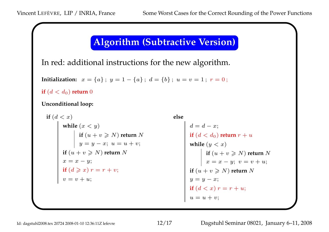#### **Algorithm (Subtractive Version)**

In red: additional instructions for the new algorithm.

**Initialization:**  $x = \{a\}$ ;  $y = 1 - \{a\}$ ;  $d = \{b\}$ ;  $u = v = 1$ ;  $r = 0$ ;

 $\textbf{if}~(d < d_0)$  return  $0$ 

**Unconditional loop:**

$$
\begin{array}{ll}\n\text{if } (d < x) \\
\text{while } (x < y) \\
\text{if } (u + v \geq N) \text{ return } N \\
y = y - x; \ u = u + v; \\
\text{if } (u + v \geq N) \text{ return } N \\
x = x - y; \\
\text{if } (d \geq x) \ r = r + v; \\
v = v + u; \\
\text{if } (d < x) \ r = r + v; \\
v = v + u;\n\end{array}\n\qquad\n\begin{array}{ll}\n\text{else} \\
\text{if } (d < d_0) \text{ return } N \\
\text{while } (y < x) \\
\text{while } (y < x) \\
\text{if } (u + v \geq N) \\
x = x - y; \\
y = y - x; \\
\text{if } (d < x) \ r = r \\
u = u + v;\n\end{array}
$$

```
(v_0) return r + u\geqslant N) return N
       y; v = v + u;
   N) return
N
       r
+
u;
```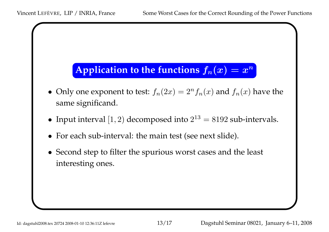# Application to the functions  $f_n(x) = x^n$

- Only one exponent to test:  $f_n(2x) = 2^n f_n(x)$  and  $f_n(x)$  have the same significand.
- Input interval  $[1, 2)$  decomposed into  $2^{13} = 8192$  sub-intervals.
- For each sub-interval: the main test (see next slide).
- Second step to filter the spurious worst cases and the least interesting ones.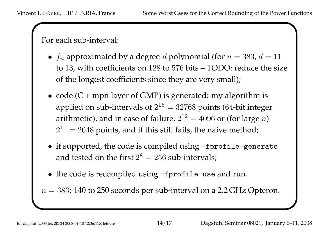For each sub-interval:

- $\bullet$   $f_n$  approximated by a degree-*d* polynomial (for  $n = 383$ ,  $d = 11$ to 13, with coefficients on 128 to 576 bits – TODO: reduce the size of the longest coefficients since they are very small);
- code  $(C + mpn$  layer of GMP) is generated: my algorithm is applied on sub-intervals of  $2^{15}=32768$  points (64-bit integer arithmetic)*,* and in case of failure,  $2^{12} = 4096$  or (for large  $n$ )  $2^{11} = 2048$  points, and if this still fails, the naive method;
- if supported, the code is compiled using -fprofile-generate and tested on the first  $2^8=256$  sub-intervals;
- the code is recompiled using -fprofile-use and run.

 $n = 383: 140$  to 250 seconds per sub-interval on a 2.2 GHz Opteron.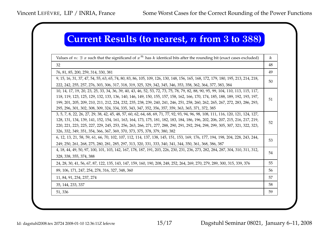### **Current Results (to nearest,** *n* **from 3 to 388 )**

| Values of $n: \exists x$ such that the significand of $x^n$ has k identical bits after the rounding bit (exact cases excluded)     | $\boldsymbol{k}$ |
|------------------------------------------------------------------------------------------------------------------------------------|------------------|
| 32                                                                                                                                 | 48               |
| 76, 81, 85, 200, 259, 314, 330, 381                                                                                                | 49               |
| 9, 15, 16, 31, 37, 47, 54, 55, 63, 65, 74, 80, 83, 86, 105, 109, 126, 130, 148, 156, 165, 168, 172, 179, 180, 195, 213, 214, 218,  | 50               |
| 222, 242, 255, 257, 276, 303, 306, 317, 318, 319, 325, 329, 342, 345, 346, 353, 358, 362, 364, 377, 383, 384                       |                  |
| 10, 14, 17, 19, 20, 23, 25, 33, 34, 36, 39, 40, 43, 46, 52, 53, 72, 73, 75, 78, 79, 82, 88, 90, 95, 99, 104, 110, 113, 115, 117,   |                  |
| 118, 119, 123, 125, 129, 132, 133, 136, 140, 146, 149, 150, 155, 157, 158, 162, 166, 170, 174, 185, 188, 189, 192, 193, 197,       | 51               |
| 199, 201, 205, 209, 210, 211, 212, 224, 232, 235, 238, 239, 240, 241, 246, 251, 258, 260, 262, 265, 267, 272, 283, 286, 293,       |                  |
| 295, 296, 301, 302, 308, 309, 324, 334, 335, 343, 347, 352, 356, 357, 359, 363, 365, 371, 372, 385                                 |                  |
| 3, 5, 7, 8, 22, 26, 27, 29, 38, 42, 45, 48, 57, 60, 62, 64, 68, 69, 71, 77, 92, 93, 94, 96, 98, 108, 111, 116, 120, 121, 124, 127, |                  |
| 128, 131, 134, 139, 141, 152, 154, 161, 163, 164, 173, 175, 181, 182, 183, 184, 186, 196, 202, 206, 207, 215, 216, 217, 219,       | 52               |
| 220, 221, 223, 225, 227, 229, 245, 253, 256, 263, 266, 271, 277, 288, 290, 291, 292, 294, 298, 299, 305, 307, 321, 322, 323,       |                  |
| 326, 332, 349, 351, 354, 366, 367, 369, 370, 373, 375, 378, 379, 380, 382                                                          |                  |
| 6, 12, 13, 21, 58, 59, 61, 66, 70, 102, 107, 112, 114, 137, 138, 145, 151, 153, 169, 176, 177, 194, 198, 204, 228, 243, 244,       | 53               |
| 249, 250, 261, 268, 275, 280, 281, 285, 297, 313, 320, 331, 333, 340, 341, 344, 350, 361, 368, 386, 387                            |                  |
| 4, 18, 44, 49, 50, 97, 100, 101, 103, 142, 167, 178, 187, 191, 203, 226, 230, 231, 236, 273, 282, 284, 287, 304, 310, 311, 312,    | 54               |
| 328, 338, 355, 374, 388                                                                                                            |                  |
| 24, 28, 30, 41, 56, 67, 87, 122, 135, 143, 147, 159, 160, 190, 208, 248, 252, 264, 269, 270, 279, 289, 300, 315, 339, 376          | 55               |
| 89, 106, 171, 247, 254, 278, 316, 327, 348, 360                                                                                    | 56               |
| 11, 84, 91, 234, 237, 274                                                                                                          | 57               |
| 35, 144, 233, 337                                                                                                                  | 58               |
| 51,336                                                                                                                             | 59               |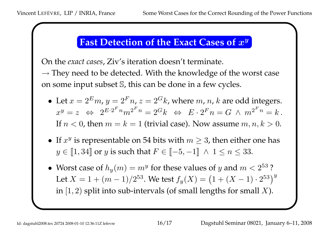#### **Fast Detection of the Exact Cases of** *x y*

On the *exact cases*, Ziv's iteration doesn't terminate.

*→* They need to be detected. With the knowledge of the worst case on some input subset S, this can be done in <sup>a</sup> few cycles.

- Let  $x = 2^E m$ ,  $y = 2^F n$ ,  $z = 2^G k$ , where  $m$ ,  $n$ ,  $k$  are odd integers.  $x^y = z \ \ \Leftrightarrow \ \ 2^{E \cdot 2^F n} m^{2^F n} = 2^G k \ \ \Leftrightarrow \ \ E \cdot 2^F n = G \ \wedge \ m^{2^F n} = k \, .$ If  $n < 0$ , then  $m = k = 1$  (trivial case). Now assume  $m, n, k > 0$ .
- If  $x^y$  is representable on 54 bits with  $m \geq 3$ , then either one has  $y \in \llbracket 1, 34 \rrbracket$  or  $y$  is such that  $F \in \llbracket -5, -1 \rrbracket \ \land \ 1 \leq n \leq 33.$
- Worst case of  $h_y(m) = m^y$  for these values of *y* and  $m < 2^{53}$ ? Let  $X = 1 + (m-1)/2^{53}$ . We test  $f_y(X) = \left(1 + (X-1) \cdot 2^{53}\right)^y$  $\left.\rule{-2pt}{10pt}\right)$ in [1*,* 2) split into sub-intervals (of small lengths for small *X*).